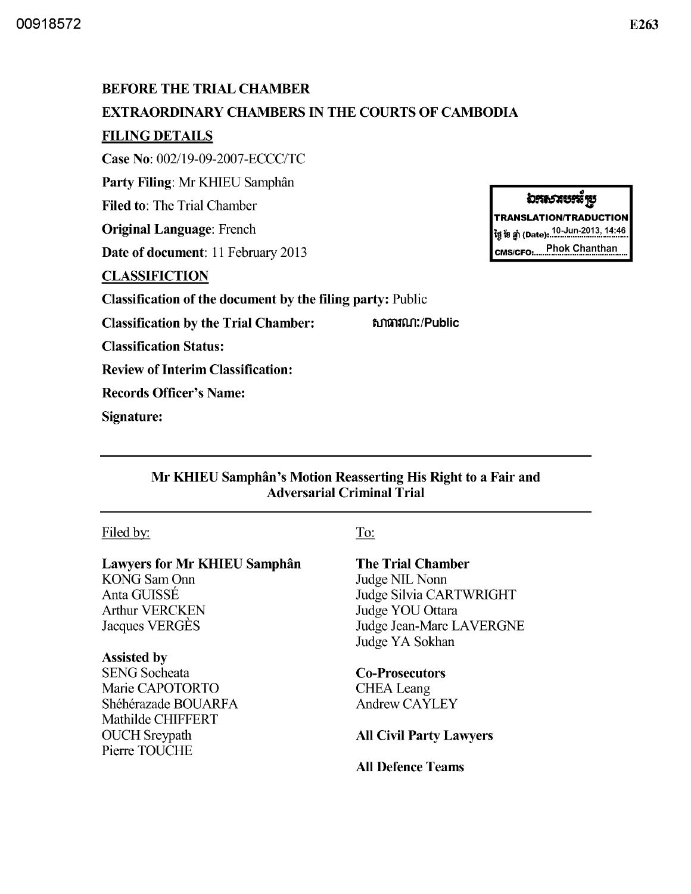# BEFORE THE TRIAL CHAMBER EXTRAORDINARY CHAMBERS IN THE COURTS OF CAMBODIA FILING DETAILS Case No: *002/19-09-2007-ECCC/TC*  Party Filing: Mr KHIEU Samphân Filed to: The Trial Chamber Original Language: French Date of document: 11 February 2013 **CLASSIFICTION** Classification of the document by the filing party: Public Classification by the Trial Chamber: 6. 6 ณาตามนา:/Public Classification Status: Review of Interim Classification: Records Officer's Name: Signature:

# Mr KHIEU Samphân's Motion Reasserting His Right to a Fair and Adversarial Criminal Trial

# Filed by:

# Lawyers for Mr KHIEU Samphan

KONG Sam Onn AntaGUlSSE Arthur VERCKEN Jacques VERGES

# Assisted by

SENG Socheata Marie CAPOTORTO Shéhérazade BOUARFA Mathilde CHIFFERT OUCH Sreypath Pierre TOUCHE

### To:

# The Trial Chamber

Judge NIL Nonn Judge Silvia CARTWRIGHT Judge YOU Ottara Judge Jean-Marc LAVERGNE Judge YA Sokhan

Co-Prosecutors **CHEA** Leang Andrew CAYLEY

All Civil Party Lawyers

All Defence Teams

# **อระราชระั**รย

TRANSLATION/TRADUCTION ້າງ ເ້ຍ ຫຼຳ (Date): 10-Jun-2013, 14:46 CMS/CFO: ..... Phok Chanthan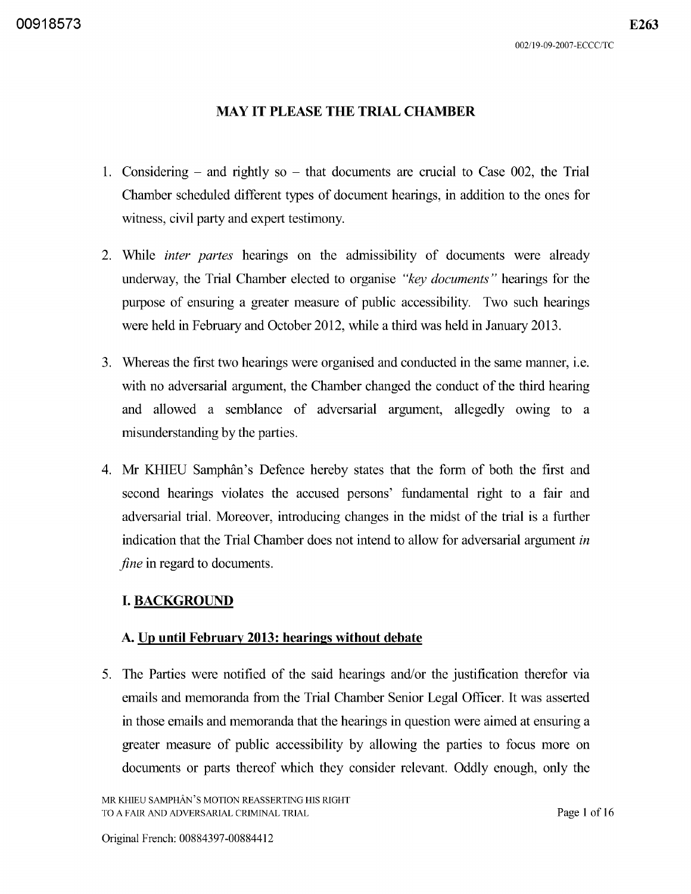1. Considering  $-$  and rightly so  $-$  that documents are crucial to Case 002, the Trial Chamber scheduled different types of document hearings, in addition to the ones for witness, civil party and expert testimony.

**MAY IT PLEASE THE TRIAL CHAMBER** 

- 2. While *inter partes* hearings on the admissibility of documents were already underway, the Trial Chamber elected to organise *"key documents"* hearings for the purpose of ensuring a greater measure of public accessibility. Two such hearings were held in February and October 2012, while a third was held in January 20l3.
- 3. Whereas the first two hearings were organised and conducted in the same manner, i.e. with no adversarial argument, the Chamber changed the conduct of the third hearing and allowed a semblance of adversarial argument, allegedly owing to a misunderstanding by the parties.
- 4. Mr KHIEU Samphân's Defence hereby states that the form of both the first and second hearings violates the accused persons' fundamental right to a fair and adversarial trial. Moreover, introducing changes in the midst of the trial is a further indication that the Trial Chamber does not intend to allow for adversarial argument *in fine* in regard to documents.

# **I. BACKGROUND**

# **A. Up until February 2013: hearings without debate**

5. The Parties were notified of the said hearings and/or the justification therefor via emails and memoranda from the Trial Chamber Senior Legal Officer. It was asserted in those emails and memoranda that the hearings in question were aimed at ensuring a greater measure of public accessibility by allowing the parties to focus more on documents or parts thereof which they consider relevant. Oddly enough, only the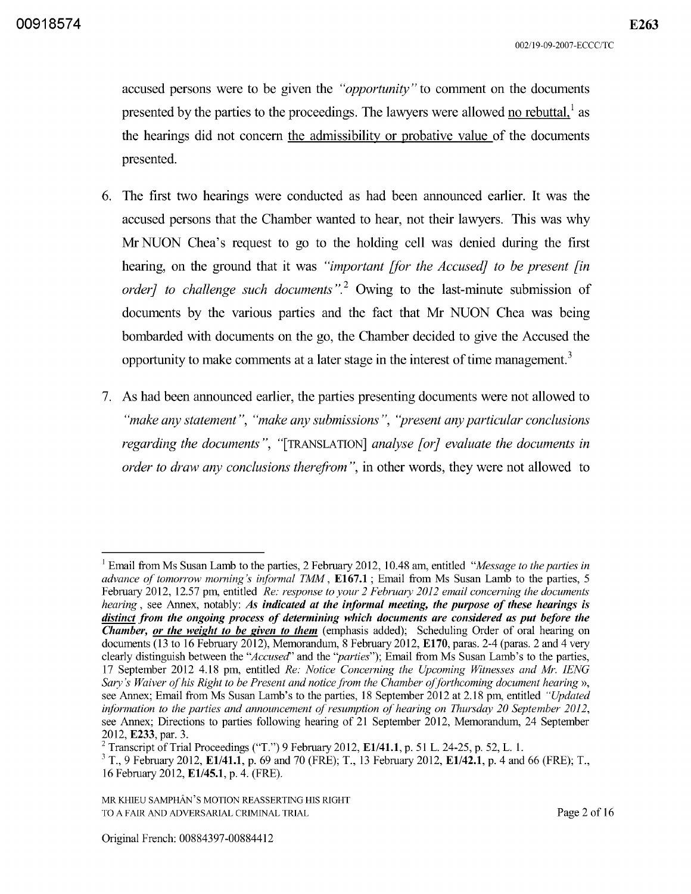accused persons were to be given the *"opportunity"* to comment on the documents presented by the parties to the proceedings. The lawyers were allowed no rebuttal. $<sup>1</sup>$  as</sup> the hearings did not concern the admissibility or probative value of the documents presented.

- 6. The first two hearings were conducted as had been announced earlier. It was the accused persons that the Chamber wanted to hear, not their lawyers. This was why Mr NUON Chea's request to go to the holding cell was denied during the first hearing, on the ground that it was *"important [for the Accused] to be present [in order] to challenge such documents*".<sup>2</sup> Owing to the last-minute submission of documents by the various parties and the fact that Mr NUON Chea was being bombarded with documents on the go, the Chamber decided to give the Accused the opportunity to make comments at a later stage in the interest of time management.<sup>3</sup>
- 7. As had been announced earlier, the parties presenting documents were not allowed to *"make any statement", "make any submissions", "present any particular conclusions regarding the documents",* "[TRANSLATION] *analyse [or] evaluate the documents in order to draw any conclusions therefrom",* in other words, they were not allowed to

<sup>1</sup> Email from Ms Susan Lamb to the parties, 2 February 2012, 10.48 am, entitled *"Message to the parties in advance of tomorrow morning's informal TMM,* E167.1 ; Email from Ms Susan Lamb to the parties, 5 February 2012, 12.57 pm, entitled *Re: response to your* 2 *February 2012 email concerning the documents hearing,* see Annex, notably: *As indicated at the informal meeting, the purpose of these hearings is distinct from the ongoing process of determining which documents are considered as put before the Chamber, or the weight to be given to them* (emphasis added); Scheduling Order of oral hearing on documents (13 to 16 February 2012), Memorandum, 8 February 2012, E170, paras. 2-4 (paras. 2 and 4 very clearly distinguish between the *"Accused"* and the *''parties'');* Email from Ms Susan Lamb's to the parties, 17 September 2012 4.l8 pm, entitled *Re: Notice Concerning the Upcoming Witnesses and Mr. IENG Sary's Waiver of his Right to be Present and notice from the Chamber of forthcoming document hearing* », see Annex; Email from Ms Susan Lamb's to the parties, 18 September 2012 at 2.l8 pm, entitled *"Updated information to the parties and announcement of resumption of hearing on Thursday 20 September 2012,*  see Annex; Directions to parties following hearing of 21 September 2012, Memorandum, 24 September 2012, E233, par. 3.

<sup>&</sup>lt;sup>2</sup> Transcript of Trial Proceedings ("T.") 9 February 2012, E1/41.1, p. 51 L. 24-25, p. 52, L. 1.

 $3$  T., 9 February 2012, E1/41.1, p. 69 and 70 (FRE); T., 13 February 2012, E1/42.1, p. 4 and 66 (FRE); T., 16 February 2012, E1/45.1, p. 4. (FRE).

MR KHIEU SAMPHAN'S MOTION REASSERTING HIS RIGHT TO A FAIR AND ADVERSARIAL CRIMINAL TRIAL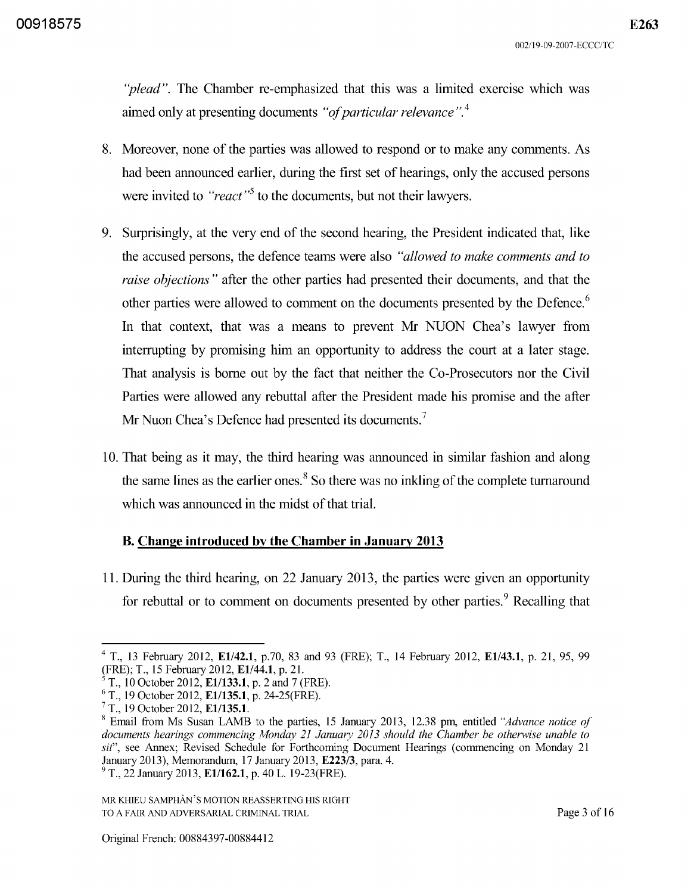*"plead".* The Chamber re-emphasized that this was a limited exercise which was aimed only at presenting documents *"of particular relevance".* <sup>4</sup>

- 8. Moreover, none of the parties was allowed to respond or to make any comments. As had been announced earlier, during the first set of hearings, only the accused persons were invited to *"react*"<sup>5</sup> to the documents, but not their lawyers.
- 9. Surprisingly, at the very end of the second hearing, the President indicated that, like the accused persons, the defence teams were also *"allowed to make comments and to raise objections"* after the other parties had presented their documents, and that the other parties were allowed to comment on the documents presented by the Defence.<sup>6</sup> In that context, that was a means to prevent Mr NUON Chea's lawyer from interrupting by promising him an opportunity to address the court at a later stage. That analysis is borne out by the fact that neither the Co-Prosecutors nor the Civil Parties were allowed any rebuttal after the President made his promise and the after Mr Nuon Chea's Defence had presented its documents.<sup>7</sup>
- 10. That being as it may, the third hearing was announced in similar fashion and along the same lines as the earlier ones.<sup>8</sup> So there was no inkling of the complete turnaround which was announced in the midst of that trial.

### **B. Change introduced by the Chamber in January 2013**

11. During the third hearing, on 22 January 20l3, the parties were given an opportunity for rebuttal or to comment on documents presented by other parties.<sup>9</sup> Recalling that

 $4$  T., 13 February 2012, E1/42.1, p.70, 83 and 93 (FRE); T., 14 February 2012, E1/43.1, p. 21, 95, 99 (FRE); T., 15 February 2012, E1/44.1, p. 21.

 $T_{.}$  10 October 2012, E1/133.1, p. 2 and 7 (FRE).

 $6$  T., 19 October 2012, E1/135.1, p. 24-25(FRE).

 $7$  T., 19 October 2012, E1/135.1.

<sup>8</sup> Email from Ms Susan LAMB to the parties, 15 January 2013, 12.38 pm, entitled *"Advance notice of documents hearings commencing Monday* 21 *January 2013 should the Chamber be otherwise unable to sit",* see Annex; Revised Schedule for Forthcoming Document Hearings (commencing on Monday 21 January 2013), Memorandum, 17 January 2013, E223/3, para. 4.

 $^{9}$  T., 22 January 2013, E1/162.1, p. 40 L. 19-23(FRE).

MR KHIEU SAMPHAN'S MOTION REASSERTING HIS RIGHT TO A FAIR AND ADVERSARIAL CRIMINAL TRIAL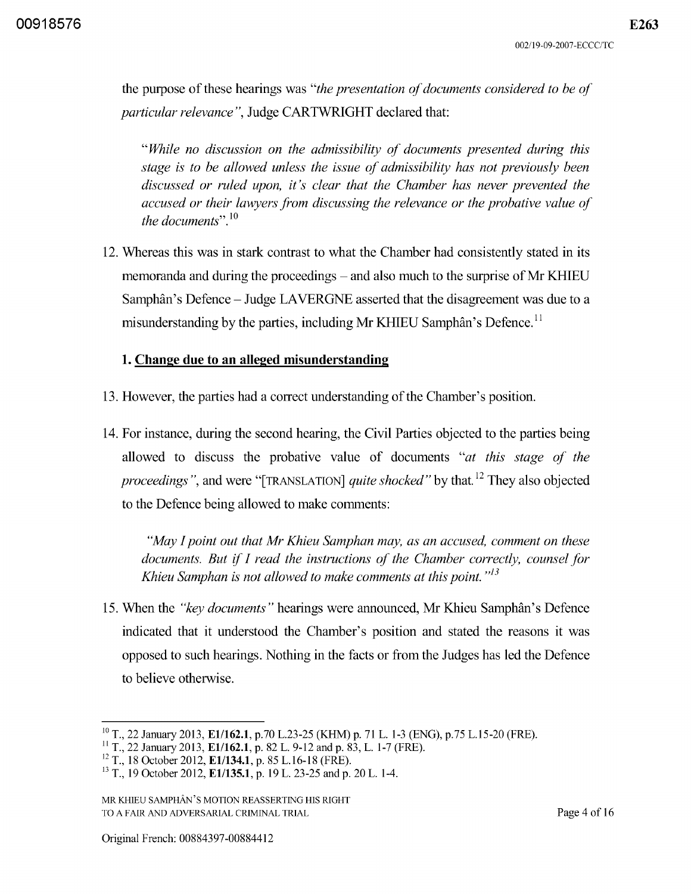the purpose of these hearings was *"the presentation of documents considered to be of particular relevance",* Judge CARTWRIGHT declared that:

*"While no discussion on the admissibility of documents presented during this stage is to be allowed unless the issue of admissibility has not previously been discussed or ruled upon, it's clear that the Chamber has never prevented the accused or their lawyers from discussing the relevance or the probative value of the documents".* <sup>10</sup>

12. Whereas this was in stark contrast to what the Chamber had consistently stated in its memoranda and during the proceedings – and also much to the surprise of Mr KHIEU Samphân's Defence - Judge LAVERGNE asserted that the disagreement was due to a misunderstanding by the parties, including Mr KHIEU Samphân's Defence.<sup>11</sup>

### **1. Change due to an alleged misunderstanding**

- 13. However, the parties had a correct understanding of the Chamber's position.
- 14. For instance, during the second hearing, the Civil Parties objected to the parties being allowed to discuss the probative value of documents *"at this stage of the proceedings* ", and were "[TRANSLATION] *quite shocked"* by that. 12 They also objected to the Defence being allowed to make comments:

*"May I point out that Mr Khieu Samphan may, as an accused, comment on these documents. But* if *I read the instructions of the Chamber correctly, counsel for Khieu Samphan is not allowed to make comments at this point.*<sup> $,13$ </sup>

15. When the *"key documents"* hearings were announced, Mr Khieu Samphan's Defence indicated that it understood the Chamber's position and stated the reasons it was opposed to such hearings. Nothing in the facts or from the Judges has led the Defence to believe otherwise.

<sup>&</sup>lt;sup>10</sup> T., 22 January 2013, E1/162.1, p.70 L.23-25 (KHM) p. 71 L. 1-3 (ENG), p.75 L.15-20 (FRE).

<sup>&</sup>lt;sup>11</sup> T., 22 January 2013, **E1/162.1**, p. 82 L. 9-12 and p. 83, L. 1-7 (FRE).

 $^{12}$  T., 18 October 2012, E1/134.1, p. 85 L.16-18 (FRE).

<sup>&</sup>lt;sup>13</sup> T., 19 October 2012, E1/135.1, p. 19 L. 23-25 and p. 20 L. 1-4.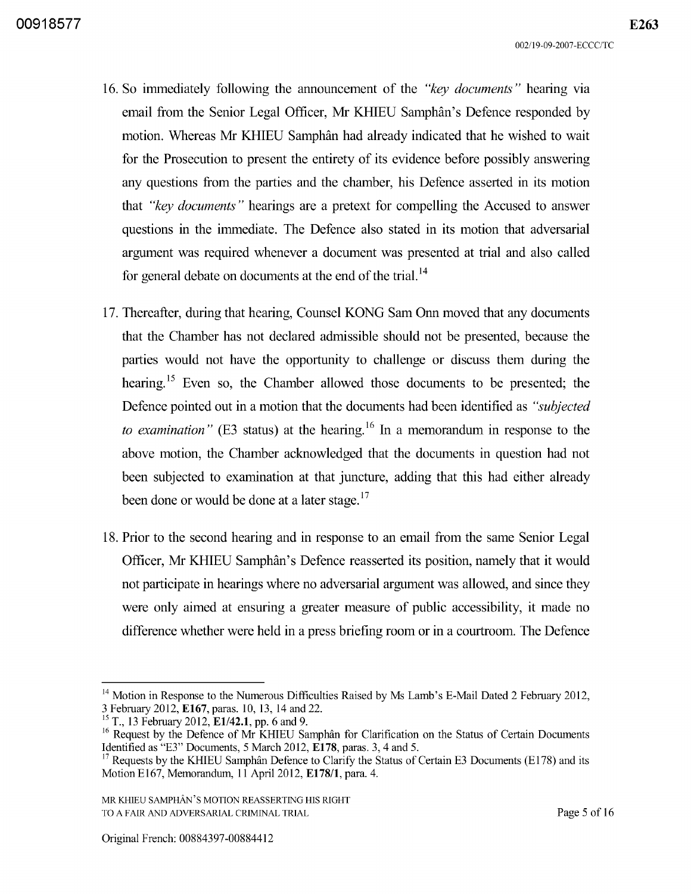- 16. So immediately following the announcement of the *"key documents"* hearing via email from the Senior Legal Officer, Mr KHIEU Samphan's Defence responded by motion. Whereas Mr KHIEU Samphan had already indicated that he wished to wait for the Prosecution to present the entirety of its evidence before possibly answering any questions from the parties and the chamber, his Defence asserted in its motion that *"key documents"* hearings are a pretext for compelling the Accused to answer questions in the immediate. The Defence also stated in its motion that adversarial argument was required whenever a document was presented at trial and also called for general debate on documents at the end of the trial. <sup>14</sup>
- 17. Thereafter, during that hearing, Counsel KONG Sam Onn moved that any documents that the Chamber has not declared admissible should not be presented, because the parties would not have the opportunity to challenge or discuss them during the hearing.<sup>15</sup> Even so, the Chamber allowed those documents to be presented; the Defence pointed out in a motion that the documents had been identified as *"subjected to examination*" (E3 status) at the hearing.<sup>16</sup> In a memorandum in response to the above motion, the Chamber acknowledged that the documents in question had not been subjected to examination at that juncture, adding that this had either already been done or would be done at a later stage.  $17$
- 18. Prior to the second hearing and in response to an email from the same Senior Legal Officer, Mr KHIEU Samphân's Defence reasserted its position, namely that it would not participate in hearings where no adversarial argument was allowed, and since they were only aimed at ensuring a greater measure of public accessibility, it made no difference whether were held in a press briefing room or in a courtroom. The Defence

<sup>&</sup>lt;sup>14</sup> Motion in Response to the Numerous Difficulties Raised by Ms Lamb's E-Mail Dated 2 February 2012, 3 February 2012, E167, paras. 10, 13, 14 and 22.

<sup>&</sup>lt;sup>15</sup> T., 13 February 2012, E1/42.1, pp. 6 and 9.

 $16$  Request by the Defence of Mr KHIEU Samphân for Clarification on the Status of Certain Documents Identified as "E3" Documents, 5 March 2012, E178, paras. 3, 4 and 5.

<sup>&</sup>lt;sup>17</sup> Requests by the KHIEU Samphân Defence to Clarify the Status of Certain E3 Documents (E178) and its Motion E167, Memorandum, 11 April 2012, E178/1, para. 4.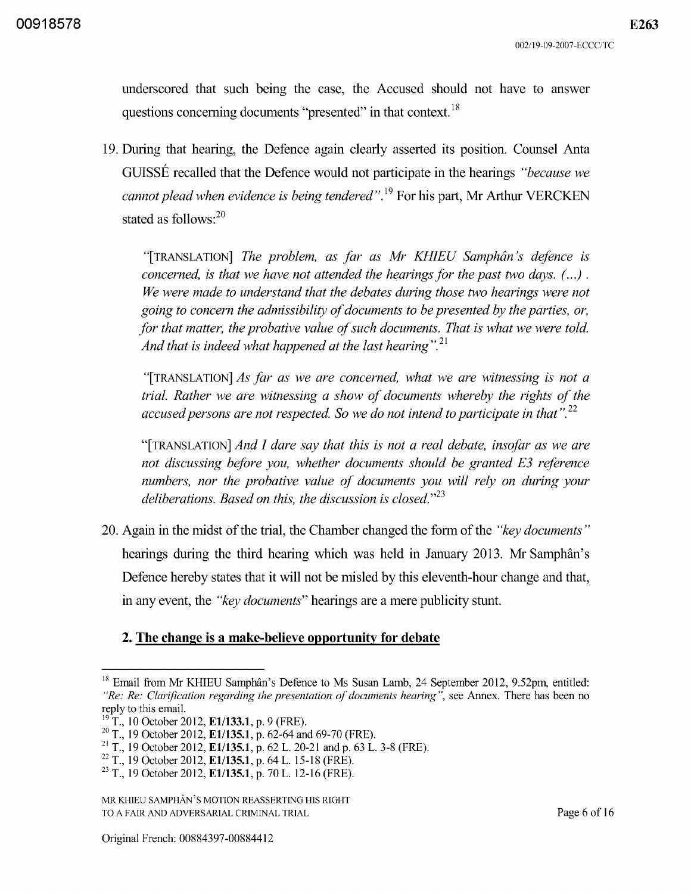underscored that such being the case, the Accused should not have to answer questions concerning documents "presented" in that context. 18

19. During that hearing, the Defence again clearly asserted its position. Counsel Anta GUISSE recalled that the Defence would not participate in the hearings *"because we cannot plead when evidence is being tendered".* 19 For his part, Mr Arthur VERCKEN stated as follows:<sup>20</sup>

"[TRANSLATION] *The problem, as far as Mr KHIEU Samphan's defence is concerned, is that we have not attended the hearings for the past two days.*  $( ...)$ . *We were made to understand that the debates during those two hearings were not going to concern the admissibility of documents to be presented by the parties, or, for that matter, the probative value of such documents. That is what we were told. And that is indeed what happened at the last hearing". 21* 

"[TRANSLATION] *As far as we are concerned, what we are witnessing is not a trial. Rather we are witnessing a show of documents whereby the rights of the accused persons are not respected.* So *we do not intend to participate in that". 22* 

"[TRANSLATION] *And I dare say that this is not a real debate, insofar as we are not discussing before you, whether documents should be granted E3 reference numbers, nor the probative value of documents you will rely on during your deliberations. Based on this, the discussion is closed.*<sup>23</sup>

20. Again in the midst of the trial, the Chamber changed the form of the *"key documents"*  hearings during the third hearing which was held in January 2013. Mr Samphân's Defence hereby states that it will not be misled by this eleventh-hour change and that, in any event, the *"key documents"* hearings are a mere publicity stunt.

### **2. The change is a make-believe opportunity for debate**

<sup>&</sup>lt;sup>18</sup> Email from Mr KHIEU Samphân's Defence to Ms Susan Lamb, 24 September 2012, 9.52pm, entitled: *"Re: Re: Clarification regarding the presentation of documents hearing* ", see Annex. There has been no reply to this email.

 $19^{19}$  T., 10 October 2012, E1/133.1, p. 9 (FRE).

<sup>&</sup>lt;sup>20</sup> T., 19 October 2012, **E1/135.1**, p. 62-64 and 69-70 (FRE).

<sup>&</sup>lt;sup>21</sup> T., 19 October 2012, E1/135.1, p. 62 L. 20-21 and p. 63 L. 3-8 (FRE).

<sup>&</sup>lt;sup>22</sup> T., 19 October 2012, E1/135.1, p. 64 L. 15-18 (FRE).

 $^{23}$  T., 19 October 2012, E1/135.1, p. 70 L. 12-16 (FRE).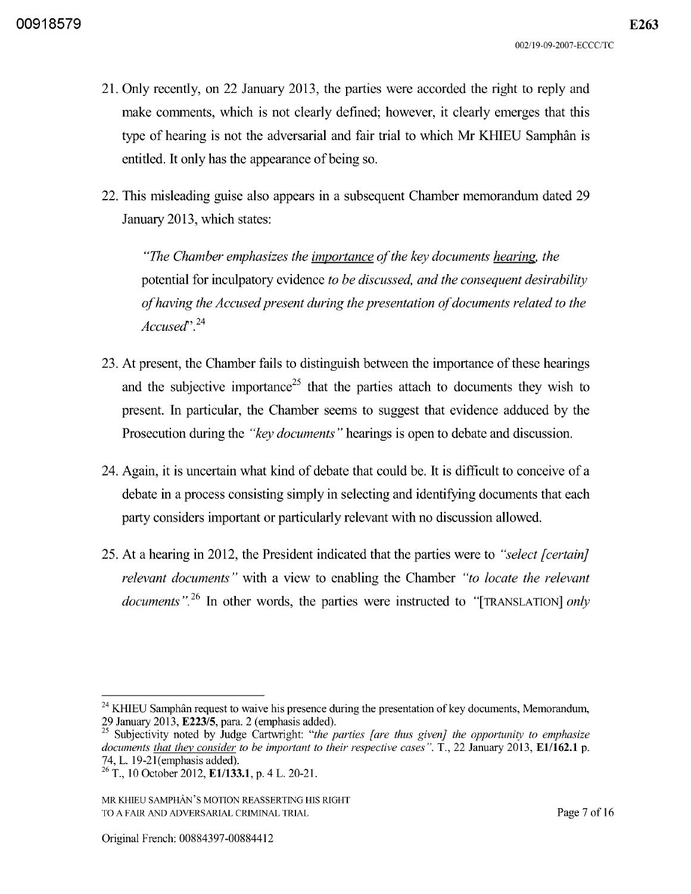- 2l. Only recently, on 22 January 20l3, the parties were accorded the right to reply and make comments, which is not clearly defined; however, it clearly emerges that this type of hearing is not the adversarial and fair trial to which Mr KHIEU Samphân is entitled. It only has the appearance of being so.
- 22. This misleading guise also appears in a subsequent Chamber memorandum dated 29 January 20l3, which states:

*"The Chamber emphasizes the importance of the key documents hearing. the*  potential for inculpatory evidence *to be discussed, and the consequent desirability of having the Accused present during the presentation of documents related to the Accused',.24* 

- 23. At present, the Chamber fails to distinguish between the importance of these hearings and the subjective importance<sup>25</sup> that the parties attach to documents they wish to present. In particular, the Chamber seems to suggest that evidence adduced by the Prosecution during the *"key documents"* hearings is open to debate and discussion.
- 24. Again, it is uncertain what kind of debate that could be. It is difficult to conceive of a debate in a process consisting simply in selecting and identifying documents that each party considers important or particularly relevant with no discussion allowed.
- 25. At a hearing in 2012, the President indicated that the parties were to *"select [certain} relevant documents"* with a view to enabling the Chamber *"to locate the relevant documents".26* In other words, the parties were instructed to "[TRANSLATION] *only*

 $^{24}$  KHIEU Samphân request to waive his presence during the presentation of key documents, Memorandum, 29 January 2013, E223/5, para. 2 (emphasis added).

<sup>&</sup>lt;sup>25</sup> Subjectivity noted by Judge Cartwright: *"the parties [are thus given] the opportunity to emphasize documents that they consider to be important to their respective cases".* T., 22 January 2013, E1/162.1 p. 74, L. 19-21 (emphasis added).

 $^{26}$  T., 10 October 2012, E1/133.1, p. 4 L. 20-21.

MR KHIEU SAMPHAN'S MOTION REASSERTING HIS RIGHT TO A FAIR AND ADVERSARIAL CRIMINAL TRIAL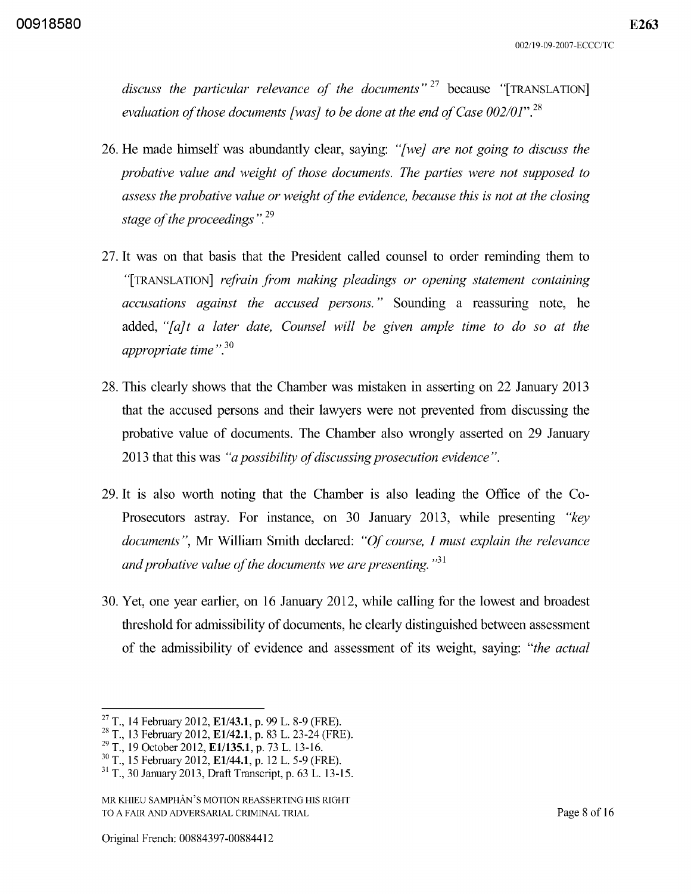discuss the particular relevance of the documents<sup>" 27</sup> because "[TRANSLATION] *evaluation of those documents [was} to be done at the end of Case 002/01".28* 

- 26. He made himself was abundantly clear, saying: *"[we} are not going to discuss the probative value and weight of those documents. The parties were not supposed to assess the probative value or weight of the evidence, because this is not at the closing stage of the proceedings* ".29
- 27. It was on that basis that the President called counsel to order reminding them to "[TRANSLATION] *refrain from making pleadings or opening statement containing accusations against the accused persons."* Sounding a reassuring note, he added, "*[a]t a later date, Counsel will be given ample time to do so at the* appropriate time".<sup>30</sup>
- 28. This clearly shows that the Chamber was mistaken in asserting on 22 January 2013 that the accused persons and their lawyers were not prevented from discussing the probative value of documents. The Chamber also wrongly asserted on 29 January 2013 that this was *"a possibility of discussing prosecution evidence".*
- 29. It is also worth noting that the Chamber is also leading the Office of the Co-Prosecutors astray. For instance, on 30 January 20l3, while presenting *"key documents",* Mr William Smith declared: *"Of course, I must explain the relevance and probative value of the documents we are presenting.* "<sup>31</sup>
- 30. Yet, one year earlier, on 16 January 2012, while calling for the lowest and broadest threshold for admissibility of documents, he clearly distinguished between assessment of the admissibility of evidence and assessment of its weight, saying: *"the actual*

<sup>&</sup>lt;sup>27</sup> T., 14 February 2012, **E1/43.1**, p. 99 L. 8-9 (FRE).

<sup>&</sup>lt;sup>28</sup> T., 13 February 2012, **E1/42.1**, p. 83 L. 23-24 (FRE).

<sup>&</sup>lt;sup>29</sup> T., 19 October 2012, **E1/135.1**, p. 73 L. 13-16.

 $^{30}$  T., 15 February 2012, E1/44.1, p. 12 L. 5-9 (FRE).

<sup>31</sup> T., 30 January 2013, Draft Transcript, p. 63 L. 13-15.

MR KHIEU SAMPHAN'S MOTION REASSERTING HIS RIGHT TO A FAIR AND ADVERSARIAL CRIMINAL TRIAL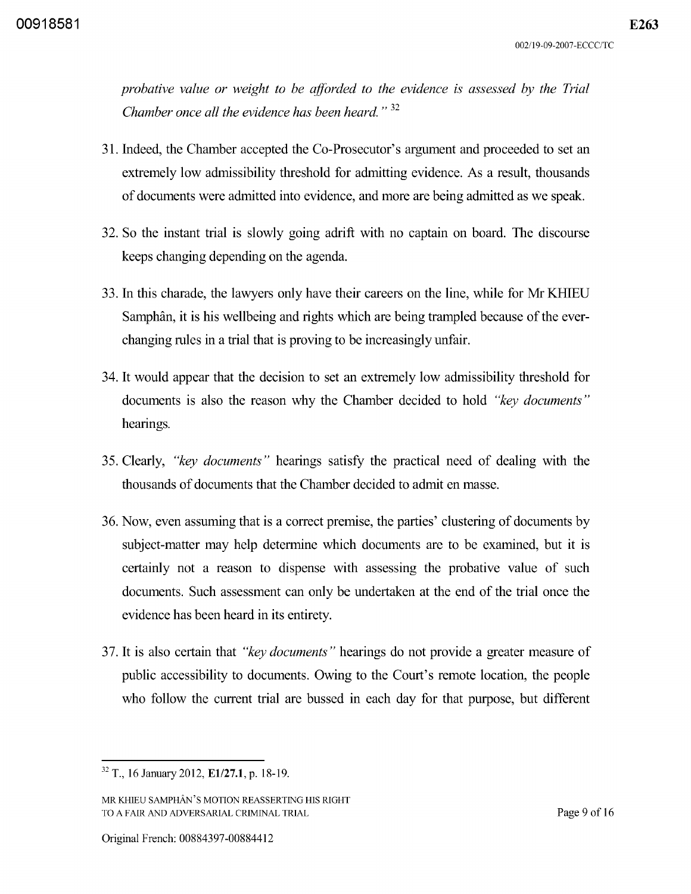*probative value or weight to be afforded to the evidence is assessed by the Trial Chamber once all the evidence has been heard.* " 32

- 31. Indeed, the Chamber accepted the Co-Prosecutor' s argument and proceeded to set an extremely low admissibility threshold for admitting evidence. As a result, thousands of documents were admitted into evidence, and more are being admitted as we speak.
- 32. So the instant trial is slowly going adrift with no captain on board. The discourse keeps changing depending on the agenda.
- 33. In this charade, the lawyers only have their careers on the line, while for Mr KHIEU Samphân, it is his wellbeing and rights which are being trampled because of the everchanging rules in a trial that is proving to be increasingly unfair.
- 34. It would appear that the decision to set an extremely low admissibility threshold for documents is also the reason why the Chamber decided to hold *"key documents"*  hearings.
- 35. Clearly, *"key documents"* hearings satisfy the practical need of dealing with the thousands of documents that the Chamber decided to admit en masse.
- 36. Now, even assuming that is a correct premise, the parties' clustering of documents by subject-matter may help determine which documents are to be examined, but it is certainly not a reason to dispense with assessing the probative value of such documents. Such assessment can only be undertaken at the end of the trial once the evidence has been heard in its entirety.
- 37. It is also certain that *"key documents"* hearings do not provide a greater measure of public accessibility to documents. Owing to the Court's remote location, the people who follow the current trial are bussed in each day for that purpose, but different

 $\overline{32}$  T., 16 January 2012, E1/27.1, p. 18-19.

MR KHIEU SAMPHAN'S MOTION REASSERTING HIS RIGHT TO A FAIR AND ADVERSARIAL CRIMINAL TRIAL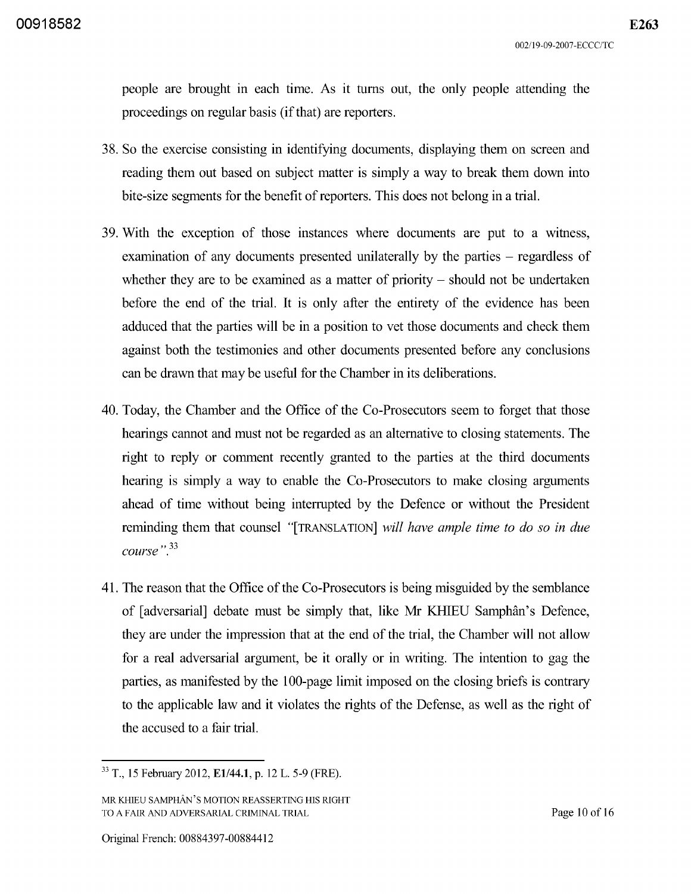people are brought in each time. As it turns out, the only people attending the proceedings on regular basis (if that) are reporters.

- 38. So the exercise consisting in identifying documents, displaying them on screen and reading them out based on subject matter is simply a way to break them down into bite-size segments for the benefit of reporters. This does not belong in a trial.
- 39. With the exception of those instances where documents are put to a witness, examination of any documents presented unilaterally by the parties – regardless of whether they are to be examined as a matter of priority  $-$  should not be undertaken before the end of the trial. It is only after the entirety of the evidence has been adduced that the parties will be in a position to vet those documents and check them against both the testimonies and other documents presented before any conclusions can be drawn that may be useful for the Chamber in its deliberations.
- 40. Today, the Chamber and the Office of the Co-Prosecutors seem to forget that those hearings cannot and must not be regarded as an alternative to closing statements. The right to reply or comment recently granted to the parties at the third documents hearing is simply a way to enable the Co-Prosecutors to make closing arguments ahead of time without being interrupted by the Defence or without the President reminding them that counsel "[TRANSLATION] *will have ample time to do* so *in due*  " 33 *course.*
- 41. The reason that the Office of the Co-Prosecutors is being misguided by the semblance of [adversarial] debate must be simply that, like Mr KHIEU Samphan's Defence, they are under the impression that at the end of the trial, the Chamber will not allow for a real adversarial argument, be it orally or in writing. The intention to gag the parties, as manifested by the 100-page limit imposed on the closing briefs is contrary to the applicable law and it violates the rights of the Defense, as well as the right of the accused to a fair trial.

<sup>&</sup>lt;sup>33</sup> T., 15 February 2012, **E1/44.1**, p. 12 L. 5-9 (FRE).

MR KHIEU SAMPHAN'S MOTION REASSERTING HIS RIGHT TO A FAIR AND ADVERSARIAL CRIMINAL TRIAL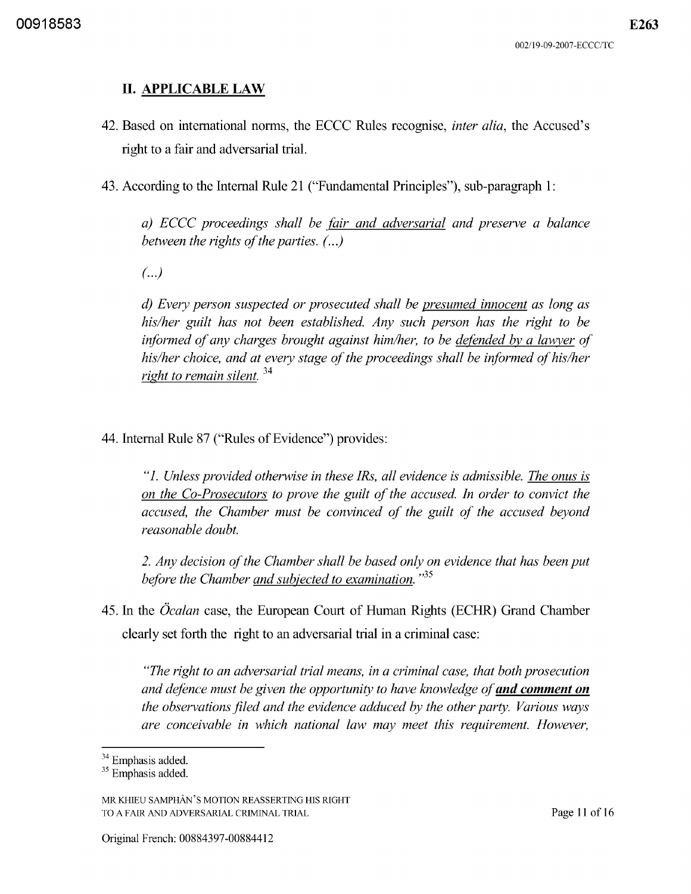# II. APPLICABLE LAW

- 42. Based on international norms, the ECCC Rules recognise, *inter alia,* the Accused's right to a fair and adversarial trial.
- 43. According to the Internal Rule 21 ("Fundamental Principles"), sub-paragraph 1:

*a) ECCC proceedings shall be fair and adversarial and preserve a balance between the rights of the parties.* (...)

 $\left( \ldots \right)$ 

*d) Every person suspected or prosecuted shall be presumed innocent as long as his/her guilt has not been established. Any such person has the right to be informed of any charges brought against him/her, to be defended bv a lawyer of his/her choice, and at every stage of the proceedings shall be informed of his/her*  right to remain silent.<sup>34</sup>

44. Internal Rule 87 ("Rules of Evidence") provides:

*"1. Unless provided otherwise in these IRs, all evidence is admissible. The onus is on the Co-Prosecutors to prove the guilt of the accused. In order to convict the accused, the Chamber must be convinced of the guilt of the accused beyond reasonable doubt.* 

*2. Any decision of the Chamber shall be based only on evidence that has been put before the Chamber and subjected to examination.*<sup>35</sup>

45. In the *Ocalan* case, the European Court of Human Rights (ECHR) Grand Chamber clearly set forth the right to an adversarial trial in a criminal case:

*"The right to an adversarial trial means, in a criminal case, that both prosecution and defence must be given the opportunity to have knowledge of and comment on the observations filed and the evidence adduced by the other party. Various ways are conceivable in which national law may meet this requirement. However,* 

<sup>&</sup>lt;sup>34</sup> Emphasis added.

<sup>&</sup>lt;sup>35</sup> Emphasis added.

MR KHIEU SAMPHAN'S MOTION REASSERTING HIS RIGHT TO A FAIR AND ADVERSARIAL CRIMINAL TRIAL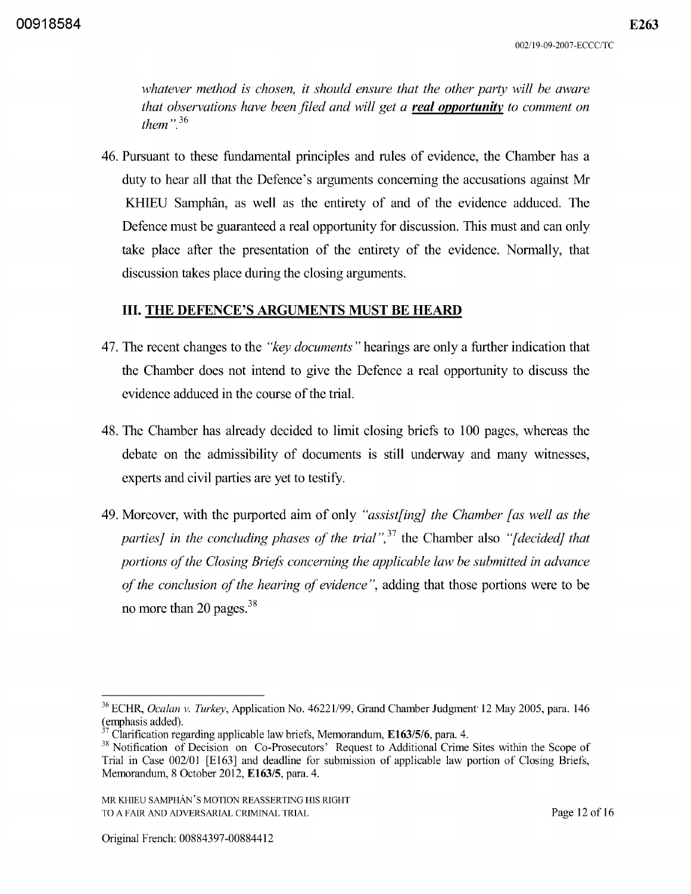*whatever method is chosen, it should ensure that the other party will be aware that observations have been filed and will get a real opportunity to comment on them*".<sup>36</sup>

46. Pursuant to these fundamental principles and rules of evidence, the Chamber has a duty to hear all that the Defence's arguments concerning the accusations against Mr KHIEU Samphân, as well as the entirety of and of the evidence adduced. The Defence must be guaranteed a real opportunity for discussion. This must and can only take place after the presentation of the entirety of the evidence. Normally, that discussion takes place during the closing arguments.

## III. THE DEFENCE'S ARGUMENTS MUST BE HEARD

- 47. The recent changes to the *"key documents"* hearings are only a further indication that the Chamber does not intend to give the Defence a real opportunity to discuss the evidence adduced in the course of the trial.
- 48. The Chamber has already decided to limit closing briefs to 100 pages, whereas the debate on the admissibility of documents is still underway and many witnesses, experts and civil parties are yet to testify.
- 49. Moreover, with the purported aim of only *"assist[ing] the Chamber [as well as the parties] in the concluding phases of the trial*<sup>", 37</sup> the Chamber also "[decided] that *portions of the Closing Briefs concerning the applicable law be submitted in advance of the conclusion of the hearing of evidence* ", adding that those portions were to be no more than 20 pages. 38

<sup>&</sup>lt;sup>36</sup> ECHR, *Ocalan v. Turkey*, Application No. 46221/99, Grand Chamber Judgment 12 May 2005, para. 146 (emphasis added).

Clarification regarding applicable law briefs, Memorandum, E163/5/6, para. 4.

<sup>&</sup>lt;sup>38</sup> Notification of Decision on Co-Prosecutors' Request to Additional Crime Sites within the Scope of Trial in Case 002/01 [E163] and deadline for submission of applicable law portion of Closing Briefs, Memorandum, 8 October 2012, E163/5, para. 4.

MR KHIEU SAMPHAN'S MOTION REASSERTING HIS RIGHT TO A FAIR AND ADVERSARIAL CRIMINAL TRIAL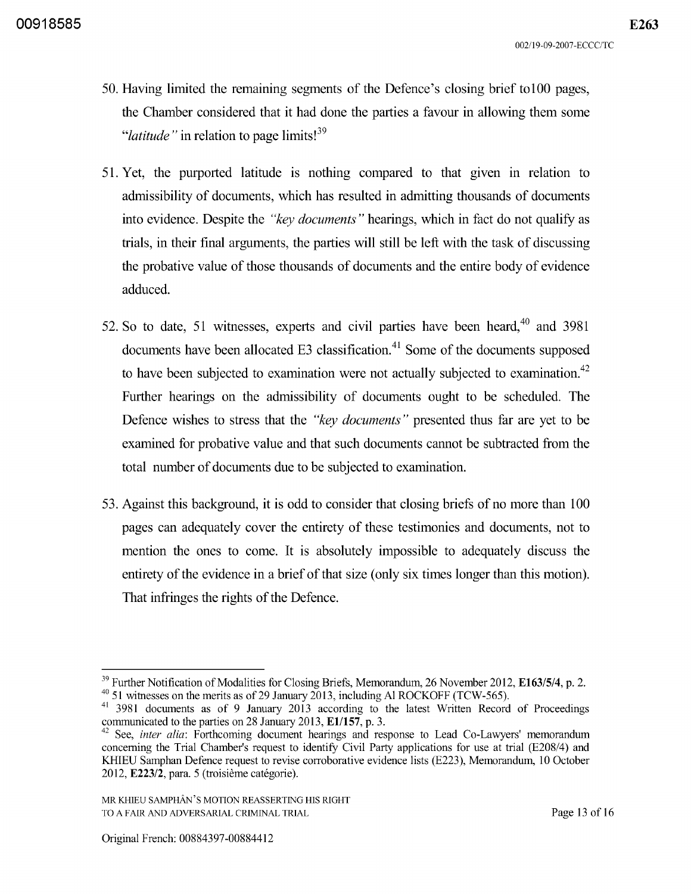- 50. Having limited the remaining segments of the Defence's closing brief to100 pages, the Chamber considered that it had done the parties a favour in allowing them some *"latitude"* in relation to page limits!39
- 51. Yet, the purported latitude is nothing compared to that given in relation to admissibility of documents, which has resulted in admitting thousands of documents into evidence. Despite the *"key documents"* hearings, which in fact do not qualify as trials, in their final arguments, the parties will still be left with the task of discussing the probative value of those thousands of documents and the entire body of evidence adduced.
- 52. So to date, 51 witnesses, experts and civil parties have been heard, $40$  and 3981 documents have been allocated E3 classification. $41$  Some of the documents supposed to have been subjected to examination were not actually subjected to examination.<sup>42</sup> Further hearings on the admissibility of documents ought to be scheduled. The Defence wishes to stress that the *"key documents"* presented thus far are yet to be examined for probative value and that such documents cannot be subtracted from the total number of documents due to be subjected to examination.
- 53. Against this background, it is odd to consider that closing briefs of no more than 1 00 pages can adequately cover the entirety of these testimonies and documents, not to mention the ones to come. It is absolutely impossible to adequately discuss the entirety of the evidence in a brief of that size (only six times longer than this motion). That infringes the rights of the Defence.

<sup>&</sup>lt;sup>39</sup> Further Notification of Modalities for Closing Briefs, Memorandum, 26 November 2012, **E163/5/4**, p. 2.  $^{40}$  51 witnesses on the merits as of 29 January 2013, including Al ROCKOFF (TCW-565).

<sup>41 3981</sup> documents as of 9 January 2013 according to the latest Written Record of Proceedings communicated to the parties on 28 January 2013, *ElI157,* p. 3.

<sup>&</sup>lt;sup>42</sup> See, *inter alia:* Forthcoming document hearings and response to Lead Co-Lawyers' memorandum concerning the Trial Chamber's request to identity Civil Party applications for use at trial (E208/4) and KHIEU Samphan Defence request to revise corroborative evidence lists (E223), Memorandum, 10 October 2012, E223/2, para. 5 (troisieme categorie).

MR KHIEU SAMPHAN'S MOTION REASSERTING HIS RIGHT TO A FAIR AND ADVERSARIAL CRIMINAL TRIAL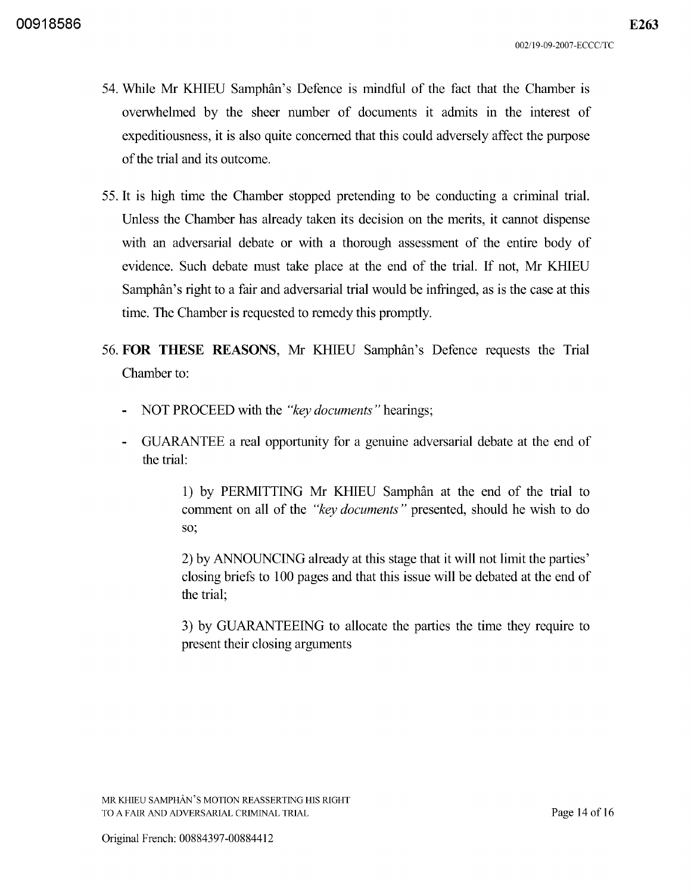- 54. While Mr KHIEU Samphan's Defence is mindful of the fact that the Chamber is overwhelmed by the sheer number of documents it admits in the interest of expeditiousness, it is also quite concerned that this could adversely affect the purpose of the trial and its outcome.
- 55. It is high time the Chamber stopped pretending to be conducting a criminal trial. Unless the Chamber has already taken its decision on the merits, it cannot dispense with an adversarial debate or with a thorough assessment of the entire body of evidence. Such debate must take place at the end of the trial. If not, Mr KHIEU Samphan's right to a fair and adversarial trial would be infringed, as is the case at this time. The Chamber is requested to remedy this promptly.
- 56. **FOR THESE** REASONS, Mr KHIEU Samphan's Defence requests the Trial Chamber to:
	- NOT PROCEED with the *"key documents"* hearings;
	- GUARANTEE a real opportunity for a genuine adversarial debate at the end of the trial:

1) by PERMITTING Mr KHIEU Samphan at the end of the trial to comment on all of the *"key documents"* presented, should he wish to do so;

2) by ANNOUNCING already at this stage that it will not limit the parties' closing briefs to 100 pages and that this issue will be debated at the end of the trial;

3) by GUARANTEEING to allocate the parties the time they require to present their closing arguments